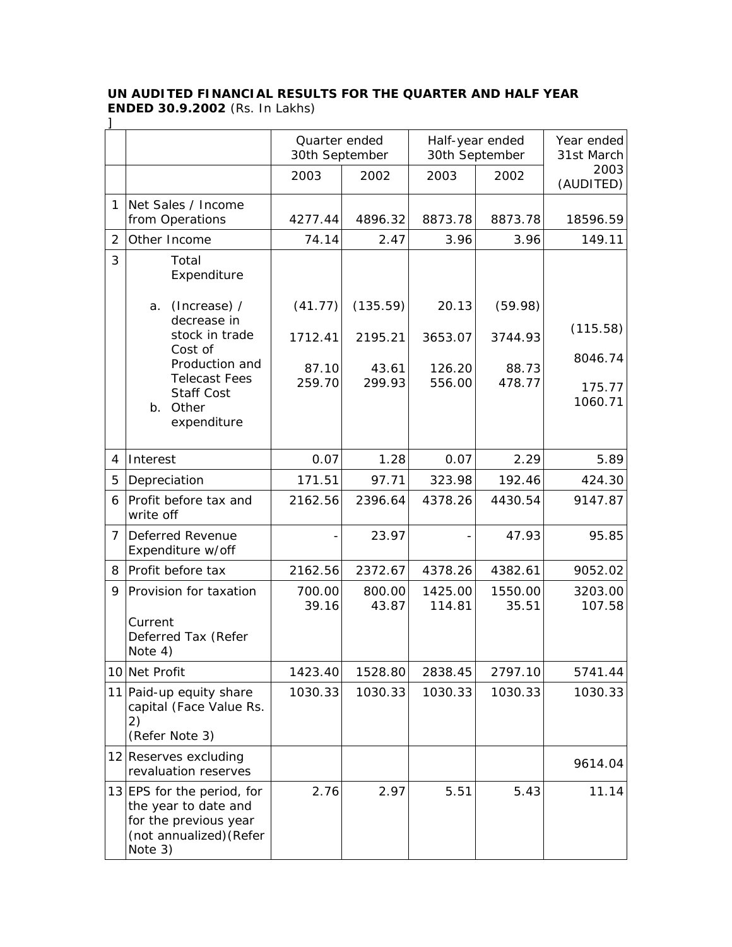## **UN AUDITED FINANCIAL RESULTS FOR THE QUARTER AND HALF YEAR ENDED 30.9.2002** (Rs. In Lakhs) ]

|                |                                                                                                                   | Quarter ended<br>30th September |                 | Half-year ended<br>30th September |                  | Year ended<br>31st March |
|----------------|-------------------------------------------------------------------------------------------------------------------|---------------------------------|-----------------|-----------------------------------|------------------|--------------------------|
|                |                                                                                                                   | 2003                            | 2002            | 2003                              | 2002             | 2003<br>(AUDITED)        |
| 1              | Net Sales / Income<br>from Operations                                                                             | 4277.44                         | 4896.32         | 8873.78                           | 8873.78          | 18596.59                 |
| 2              | Other Income                                                                                                      | 74.14                           | 2.47            | 3.96                              | 3.96             | 149.11                   |
| 3              | Total<br>Expenditure                                                                                              |                                 |                 |                                   |                  |                          |
|                | (Increase) /<br>a.<br>decrease in                                                                                 | (41.77)                         | (135.59)        | 20.13                             | (59.98)          |                          |
|                | stock in trade<br>Cost of                                                                                         | 1712.41                         | 2195.21         | 3653.07                           | 3744.93          | (115.58)                 |
|                | Production and<br><b>Telecast Fees</b>                                                                            | 87.10                           | 43.61           | 126.20                            | 88.73            | 8046.74                  |
|                | <b>Staff Cost</b><br>Other<br>b.<br>expenditure                                                                   | 259.70                          | 299.93          | 556.00                            | 478.77           | 175.77<br>1060.71        |
| 4              | Interest                                                                                                          | 0.07                            | 1.28            | 0.07                              | 2.29             | 5.89                     |
| 5              | Depreciation                                                                                                      | 171.51                          | 97.71           | 323.98                            | 192.46           | 424.30                   |
| 6              | Profit before tax and<br>write off                                                                                | 2162.56                         | 2396.64         | 4378.26                           | 4430.54          | 9147.87                  |
| $\overline{7}$ | <b>Deferred Revenue</b><br>Expenditure w/off                                                                      |                                 | 23.97           |                                   | 47.93            | 95.85                    |
| 8              | Profit before tax                                                                                                 | 2162.56                         | 2372.67         | 4378.26                           | 4382.61          | 9052.02                  |
| 9              | Provision for taxation<br>Current<br>Deferred Tax (Refer<br>Note 4)                                               | 700.00<br>39.16                 | 800.00<br>43.87 | 1425.00<br>114.81                 | 1550.00<br>35.51 | 3203.00<br>107.58        |
|                | 10 Net Profit                                                                                                     | 1423.40                         | 1528.80         | 2838.45                           | 2797.10          | 5741.44                  |
|                | 11 Paid-up equity share<br>capital (Face Value Rs.<br>2)<br>(Refer Note 3)                                        | 1030.33                         | 1030.33         | 1030.33                           | 1030.33          | 1030.33                  |
|                | 12 Reserves excluding<br>revaluation reserves                                                                     |                                 |                 |                                   |                  | 9614.04                  |
|                | 13 EPS for the period, for<br>the year to date and<br>for the previous year<br>(not annualized) (Refer<br>Note 3) | 2.76                            | 2.97            | 5.51                              | 5.43             | 11.14                    |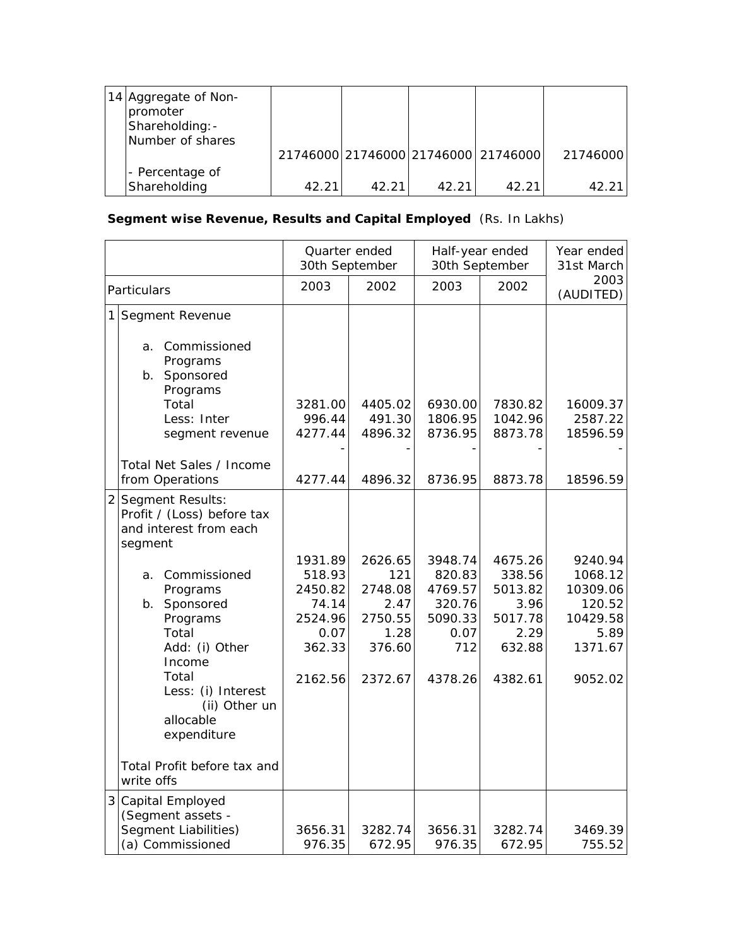| 14 Aggregate of Non-<br>promoter<br>Shareholding: -<br>Number of shares |       |       |        |                                     |          |
|-------------------------------------------------------------------------|-------|-------|--------|-------------------------------------|----------|
|                                                                         |       |       |        | 21746000 21746000 21746000 21746000 | 21746000 |
| - Percentage of                                                         |       |       |        |                                     |          |
| Shareholding                                                            | 42.21 | 42.21 | 42.211 | 42.21                               | 42.21    |

## **Segment wise Revenue, Results and Capital Employed** (Rs. In Lakhs)

|                |                                                                                                                                                                                                                                                                       | Quarter ended<br>30th September                                               |                                                                           | Half-year ended<br>30th September                                           |                                                                              | Year ended<br>31st March                                                           |
|----------------|-----------------------------------------------------------------------------------------------------------------------------------------------------------------------------------------------------------------------------------------------------------------------|-------------------------------------------------------------------------------|---------------------------------------------------------------------------|-----------------------------------------------------------------------------|------------------------------------------------------------------------------|------------------------------------------------------------------------------------|
| Particulars    |                                                                                                                                                                                                                                                                       | 2003                                                                          | 2002                                                                      | 2003                                                                        | 2002                                                                         | 2003<br>(AUDITED)                                                                  |
| 1              | Segment Revenue<br>Commissioned<br>a.<br>Programs<br>Sponsored<br>b.<br>Programs<br>Total<br>Less: Inter<br>segment revenue<br>Total Net Sales / Income                                                                                                               | 3281.00<br>996.44<br>4277.44                                                  | 4405.02<br>491.30<br>4896.32                                              | 6930.00<br>1806.95<br>8736.95                                               | 7830.82<br>1042.96<br>8873.78                                                | 16009.37<br>2587.22<br>18596.59                                                    |
|                | from Operations                                                                                                                                                                                                                                                       | 4277.44                                                                       | 4896.32                                                                   | 8736.95                                                                     | 8873.78                                                                      | 18596.59                                                                           |
| $\overline{2}$ | Segment Results:<br>Profit / (Loss) before tax<br>and interest from each<br>segment<br>Commissioned<br>а.<br>Programs<br>Sponsored<br>b.<br>Programs<br>Total<br>Add: (i) Other<br>Income<br>Total<br>Less: (i) Interest<br>(ii) Other un<br>allocable<br>expenditure | 1931.89<br>518.93<br>2450.82<br>74.14<br>2524.96<br>0.07<br>362.33<br>2162.56 | 2626.65<br>121<br>2748.08<br>2.47<br>2750.55<br>1.28<br>376.60<br>2372.67 | 3948.74<br>820.83<br>4769.57<br>320.76<br>5090.33<br>0.07<br>712<br>4378.26 | 4675.26<br>338.56<br>5013.82<br>3.96<br>5017.78<br>2.29<br>632.88<br>4382.61 | 9240.94<br>1068.12<br>10309.06<br>120.52<br>10429.58<br>5.89<br>1371.67<br>9052.02 |
|                | Total Profit before tax and<br>write offs                                                                                                                                                                                                                             |                                                                               |                                                                           |                                                                             |                                                                              |                                                                                    |
| 3              | Capital Employed<br>(Segment assets -<br>Segment Liabilities)<br>(a) Commissioned                                                                                                                                                                                     | 3656.31<br>976.35                                                             | 3282.74<br>672.95                                                         | 3656.31<br>976.35                                                           | 3282.74<br>672.95                                                            | 3469.39<br>755.52                                                                  |